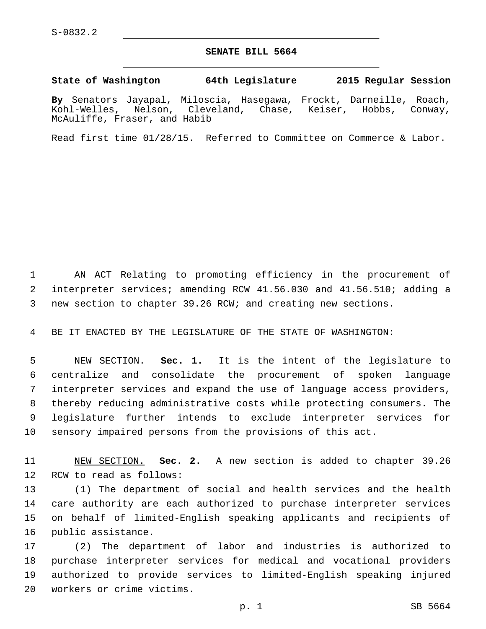## **SENATE BILL 5664**

## **State of Washington 64th Legislature 2015 Regular Session**

**By** Senators Jayapal, Miloscia, Hasegawa, Frockt, Darneille, Roach, Kohl-Welles, Nelson, Cleveland, Chase, Keiser, Hobbs, Conway, McAuliffe, Fraser, and Habib

Read first time 01/28/15. Referred to Committee on Commerce & Labor.

 AN ACT Relating to promoting efficiency in the procurement of interpreter services; amending RCW 41.56.030 and 41.56.510; adding a new section to chapter 39.26 RCW; and creating new sections.

BE IT ENACTED BY THE LEGISLATURE OF THE STATE OF WASHINGTON:

 NEW SECTION. **Sec. 1.** It is the intent of the legislature to centralize and consolidate the procurement of spoken language interpreter services and expand the use of language access providers, thereby reducing administrative costs while protecting consumers. The legislature further intends to exclude interpreter services for sensory impaired persons from the provisions of this act.

 NEW SECTION. **Sec. 2.** A new section is added to chapter 39.26 12 RCW to read as follows:

 (1) The department of social and health services and the health care authority are each authorized to purchase interpreter services on behalf of limited-English speaking applicants and recipients of 16 public assistance.

 (2) The department of labor and industries is authorized to purchase interpreter services for medical and vocational providers authorized to provide services to limited-English speaking injured workers or crime victims.20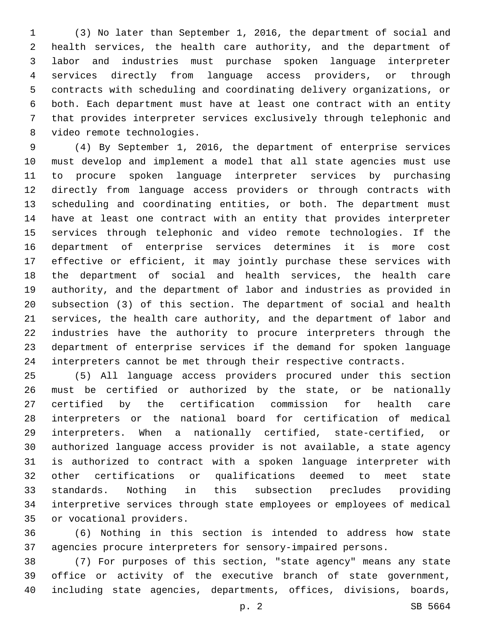(3) No later than September 1, 2016, the department of social and health services, the health care authority, and the department of labor and industries must purchase spoken language interpreter services directly from language access providers, or through contracts with scheduling and coordinating delivery organizations, or both. Each department must have at least one contract with an entity that provides interpreter services exclusively through telephonic and 8 video remote technologies.

 (4) By September 1, 2016, the department of enterprise services must develop and implement a model that all state agencies must use to procure spoken language interpreter services by purchasing directly from language access providers or through contracts with scheduling and coordinating entities, or both. The department must have at least one contract with an entity that provides interpreter services through telephonic and video remote technologies. If the department of enterprise services determines it is more cost effective or efficient, it may jointly purchase these services with the department of social and health services, the health care authority, and the department of labor and industries as provided in subsection (3) of this section. The department of social and health services, the health care authority, and the department of labor and industries have the authority to procure interpreters through the department of enterprise services if the demand for spoken language interpreters cannot be met through their respective contracts.

 (5) All language access providers procured under this section must be certified or authorized by the state, or be nationally certified by the certification commission for health care interpreters or the national board for certification of medical interpreters. When a nationally certified, state-certified, or authorized language access provider is not available, a state agency is authorized to contract with a spoken language interpreter with other certifications or qualifications deemed to meet state standards. Nothing in this subsection precludes providing interpretive services through state employees or employees of medical 35 or vocational providers.

 (6) Nothing in this section is intended to address how state agencies procure interpreters for sensory-impaired persons.

 (7) For purposes of this section, "state agency" means any state office or activity of the executive branch of state government, including state agencies, departments, offices, divisions, boards,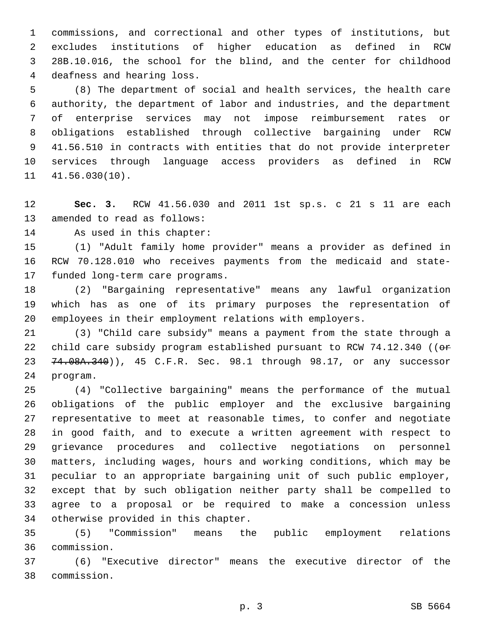commissions, and correctional and other types of institutions, but excludes institutions of higher education as defined in RCW 28B.10.016, the school for the blind, and the center for childhood 4 deafness and hearing loss.

 (8) The department of social and health services, the health care authority, the department of labor and industries, and the department of enterprise services may not impose reimbursement rates or obligations established through collective bargaining under RCW 41.56.510 in contracts with entities that do not provide interpreter services through language access providers as defined in RCW  $11 \quad 41.56.030(10)$ .

 **Sec. 3.** RCW 41.56.030 and 2011 1st sp.s. c 21 s 11 are each 13 amended to read as follows:

14 As used in this chapter:

 (1) "Adult family home provider" means a provider as defined in RCW 70.128.010 who receives payments from the medicaid and state-17 funded long-term care programs.

 (2) "Bargaining representative" means any lawful organization which has as one of its primary purposes the representation of employees in their employment relations with employers.

 (3) "Child care subsidy" means a payment from the state through a 22 child care subsidy program established pursuant to RCW 74.12.340 ((or 23 74.08A.340)), 45 C.F.R. Sec. 98.1 through 98.17, or any successor 24 program.

 (4) "Collective bargaining" means the performance of the mutual obligations of the public employer and the exclusive bargaining representative to meet at reasonable times, to confer and negotiate in good faith, and to execute a written agreement with respect to grievance procedures and collective negotiations on personnel matters, including wages, hours and working conditions, which may be peculiar to an appropriate bargaining unit of such public employer, except that by such obligation neither party shall be compelled to agree to a proposal or be required to make a concession unless 34 otherwise provided in this chapter.

 (5) "Commission" means the public employment relations commission.36

 (6) "Executive director" means the executive director of the commission.38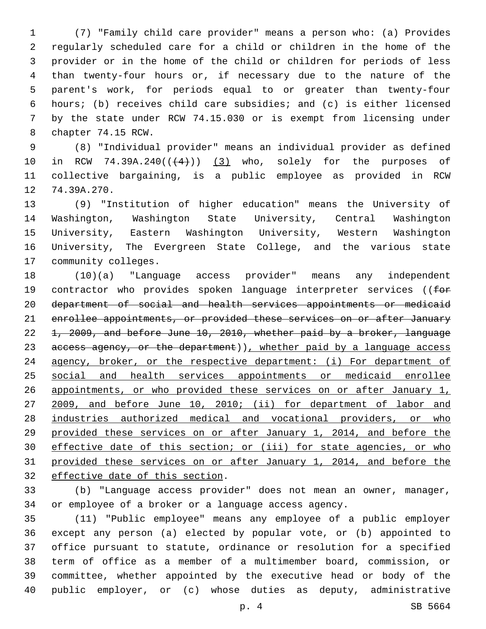(7) "Family child care provider" means a person who: (a) Provides regularly scheduled care for a child or children in the home of the provider or in the home of the child or children for periods of less than twenty-four hours or, if necessary due to the nature of the parent's work, for periods equal to or greater than twenty-four hours; (b) receives child care subsidies; and (c) is either licensed by the state under RCW 74.15.030 or is exempt from licensing under 8 chapter 74.15 RCW.

 (8) "Individual provider" means an individual provider as defined 10 in RCW 74.39A.240 $((+4))$   $(3)$  who, solely for the purposes of collective bargaining, is a public employee as provided in RCW 12 74.39A.270.

 (9) "Institution of higher education" means the University of Washington, Washington State University, Central Washington University, Eastern Washington University, Western Washington University, The Evergreen State College, and the various state 17 community colleges.

 (10)(a) "Language access provider" means any independent 19 contractor who provides spoken language interpreter services ((for department of social and health services appointments or medicaid enrollee appointments, or provided these services on or after January 1, 2009, and before June 10, 2010, whether paid by a broker, language 23 access agency, or the department)), whether paid by a language access 24 agency, broker, or the respective department: (i) For department of social and health services appointments or medicaid enrollee 26 appointments, or who provided these services on or after January 1, 2009, and before June 10, 2010; (ii) for department of labor and 28 industries authorized medical and vocational providers, or who provided these services on or after January 1, 2014, and before the effective date of this section; or (iii) for state agencies, or who provided these services on or after January 1, 2014, and before the 32 effective date of this section.

 (b) "Language access provider" does not mean an owner, manager, or employee of a broker or a language access agency.

 (11) "Public employee" means any employee of a public employer except any person (a) elected by popular vote, or (b) appointed to office pursuant to statute, ordinance or resolution for a specified term of office as a member of a multimember board, commission, or committee, whether appointed by the executive head or body of the public employer, or (c) whose duties as deputy, administrative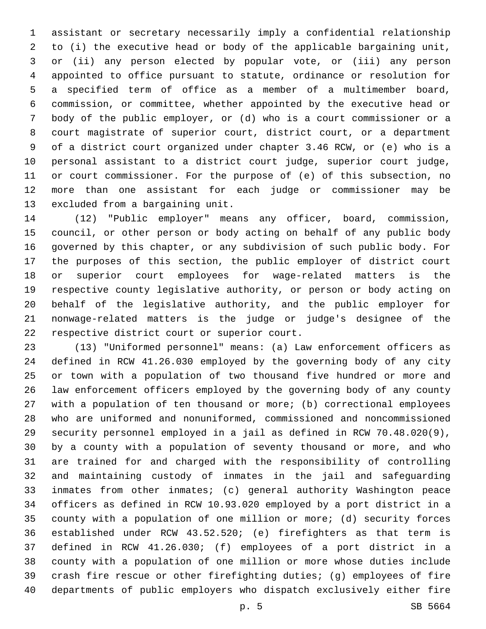assistant or secretary necessarily imply a confidential relationship to (i) the executive head or body of the applicable bargaining unit, or (ii) any person elected by popular vote, or (iii) any person appointed to office pursuant to statute, ordinance or resolution for a specified term of office as a member of a multimember board, commission, or committee, whether appointed by the executive head or body of the public employer, or (d) who is a court commissioner or a court magistrate of superior court, district court, or a department of a district court organized under chapter 3.46 RCW, or (e) who is a personal assistant to a district court judge, superior court judge, or court commissioner. For the purpose of (e) of this subsection, no more than one assistant for each judge or commissioner may be 13 excluded from a bargaining unit.

 (12) "Public employer" means any officer, board, commission, council, or other person or body acting on behalf of any public body governed by this chapter, or any subdivision of such public body. For the purposes of this section, the public employer of district court or superior court employees for wage-related matters is the respective county legislative authority, or person or body acting on behalf of the legislative authority, and the public employer for nonwage-related matters is the judge or judge's designee of the 22 respective district court or superior court.

 (13) "Uniformed personnel" means: (a) Law enforcement officers as defined in RCW 41.26.030 employed by the governing body of any city or town with a population of two thousand five hundred or more and law enforcement officers employed by the governing body of any county with a population of ten thousand or more; (b) correctional employees who are uniformed and nonuniformed, commissioned and noncommissioned security personnel employed in a jail as defined in RCW 70.48.020(9), by a county with a population of seventy thousand or more, and who are trained for and charged with the responsibility of controlling and maintaining custody of inmates in the jail and safeguarding inmates from other inmates; (c) general authority Washington peace officers as defined in RCW 10.93.020 employed by a port district in a county with a population of one million or more; (d) security forces established under RCW 43.52.520; (e) firefighters as that term is defined in RCW 41.26.030; (f) employees of a port district in a county with a population of one million or more whose duties include crash fire rescue or other firefighting duties; (g) employees of fire departments of public employers who dispatch exclusively either fire

p. 5 SB 5664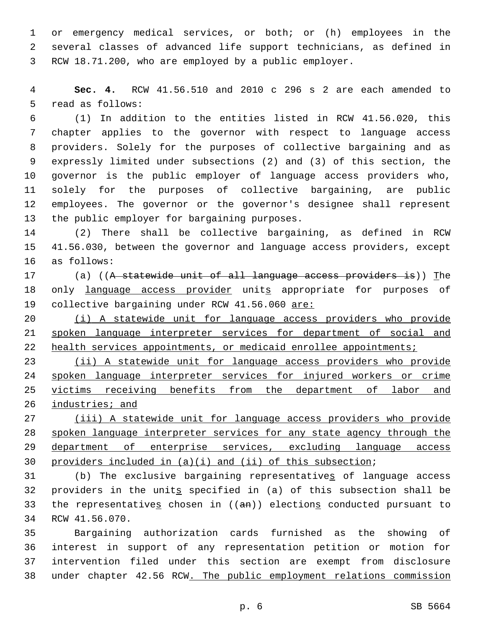or emergency medical services, or both; or (h) employees in the several classes of advanced life support technicians, as defined in RCW 18.71.200, who are employed by a public employer.

 **Sec. 4.** RCW 41.56.510 and 2010 c 296 s 2 are each amended to 5 read as follows:

 (1) In addition to the entities listed in RCW 41.56.020, this chapter applies to the governor with respect to language access providers. Solely for the purposes of collective bargaining and as expressly limited under subsections (2) and (3) of this section, the governor is the public employer of language access providers who, solely for the purposes of collective bargaining, are public employees. The governor or the governor's designee shall represent 13 the public employer for bargaining purposes.

 (2) There shall be collective bargaining, as defined in RCW 41.56.030, between the governor and language access providers, except 16 as follows:

 (a) ((A statewide unit of all language access providers is)) The 18 only language access provider units appropriate for purposes of 19 collective bargaining under RCW 41.56.060 are:

 (i) A statewide unit for language access providers who provide spoken language interpreter services for department of social and 22 health services appointments, or medicaid enrollee appointments;

 (ii) A statewide unit for language access providers who provide spoken language interpreter services for injured workers or crime victims receiving benefits from the department of labor and 26 industries; and

 (iii) A statewide unit for language access providers who provide spoken language interpreter services for any state agency through the 29 department of enterprise services, excluding language access providers included in (a)(i) and (ii) of this subsection;

 (b) The exclusive bargaining representatives of language access 32 providers in the units specified in (a) of this subsection shall be 33 the representatives chosen in ((an)) elections conducted pursuant to 34 RCW 41.56.070.

 Bargaining authorization cards furnished as the showing of interest in support of any representation petition or motion for intervention filed under this section are exempt from disclosure under chapter 42.56 RCW. The public employment relations commission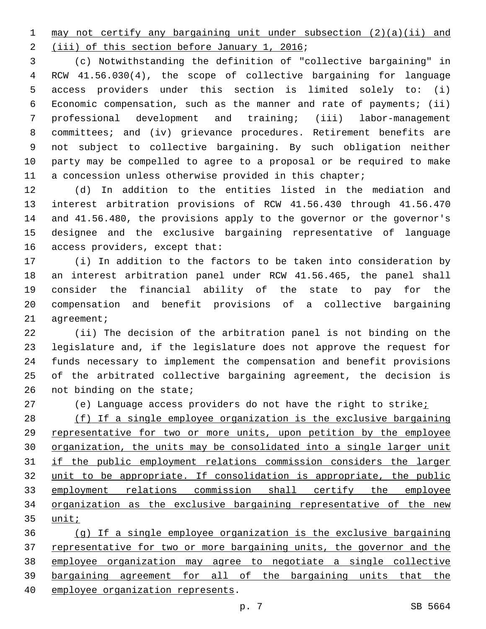may not certify any bargaining unit under subsection (2)(a)(ii) and

2 (iii) of this section before January 1, 2016;

 (c) Notwithstanding the definition of "collective bargaining" in RCW 41.56.030(4), the scope of collective bargaining for language access providers under this section is limited solely to: (i) Economic compensation, such as the manner and rate of payments; (ii) professional development and training; (iii) labor-management committees; and (iv) grievance procedures. Retirement benefits are not subject to collective bargaining. By such obligation neither party may be compelled to agree to a proposal or be required to make a concession unless otherwise provided in this chapter;

 (d) In addition to the entities listed in the mediation and interest arbitration provisions of RCW 41.56.430 through 41.56.470 and 41.56.480, the provisions apply to the governor or the governor's designee and the exclusive bargaining representative of language 16 access providers, except that:

 (i) In addition to the factors to be taken into consideration by an interest arbitration panel under RCW 41.56.465, the panel shall consider the financial ability of the state to pay for the compensation and benefit provisions of a collective bargaining 21 agreement;

 (ii) The decision of the arbitration panel is not binding on the legislature and, if the legislature does not approve the request for funds necessary to implement the compensation and benefit provisions of the arbitrated collective bargaining agreement, the decision is not binding on the state;

27 (e) Language access providers do not have the right to strike;

 (f) If a single employee organization is the exclusive bargaining representative for two or more units, upon petition by the employee organization, the units may be consolidated into a single larger unit if the public employment relations commission considers the larger unit to be appropriate. If consolidation is appropriate, the public 33 employment relations commission shall certify the employee organization as the exclusive bargaining representative of the new 35 <u>unit;</u>

 (g) If a single employee organization is the exclusive bargaining representative for two or more bargaining units, the governor and the employee organization may agree to negotiate a single collective bargaining agreement for all of the bargaining units that the 40 employee organization represents.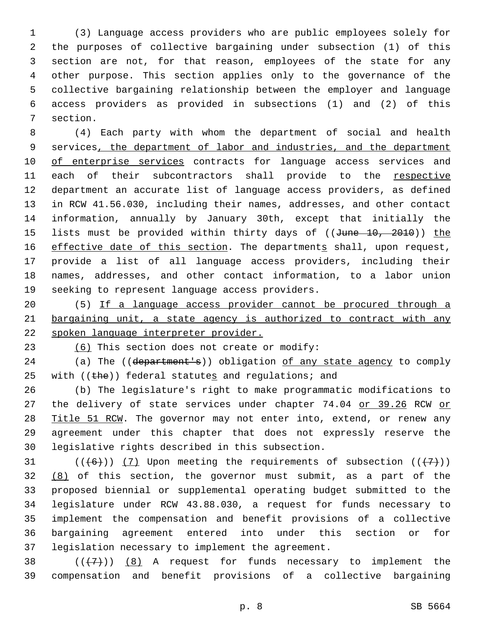(3) Language access providers who are public employees solely for the purposes of collective bargaining under subsection (1) of this section are not, for that reason, employees of the state for any other purpose. This section applies only to the governance of the collective bargaining relationship between the employer and language access providers as provided in subsections (1) and (2) of this 7 section.

 (4) Each party with whom the department of social and health services, the department of labor and industries, and the department 10 of enterprise services contracts for language access services and each of their subcontractors shall provide to the respective department an accurate list of language access providers, as defined in RCW 41.56.030, including their names, addresses, and other contact information, annually by January 30th, except that initially the 15 lists must be provided within thirty days of ((June 10, 2010)) the 16 effective date of this section. The departments shall, upon request, provide a list of all language access providers, including their names, addresses, and other contact information, to a labor union 19 seeking to represent language access providers.

 (5) If a language access provider cannot be procured through a bargaining unit, a state agency is authorized to contract with any spoken language interpreter provider.

23  $(6)$  This section does not create or modify:

24 (a) The ((department's)) obligation of any state agency to comply 25 with  $((the))$  federal statutes and regulations; and

 (b) The legislature's right to make programmatic modifications to 27 the delivery of state services under chapter 74.04 or 39.26 RCW or 28 Title 51 RCW. The governor may not enter into, extend, or renew any agreement under this chapter that does not expressly reserve the 30 legislative rights described in this subsection.

31 ( $(\overline{6})$ ) (7) Upon meeting the requirements of subsection ( $(\overline{7})$ )  $(8)$  of this section, the governor must submit, as a part of the proposed biennial or supplemental operating budget submitted to the legislature under RCW 43.88.030, a request for funds necessary to implement the compensation and benefit provisions of a collective bargaining agreement entered into under this section or for 37 legislation necessary to implement the agreement.

38  $((+7+))$   $(8)$  A request for funds necessary to implement the compensation and benefit provisions of a collective bargaining

p. 8 SB 5664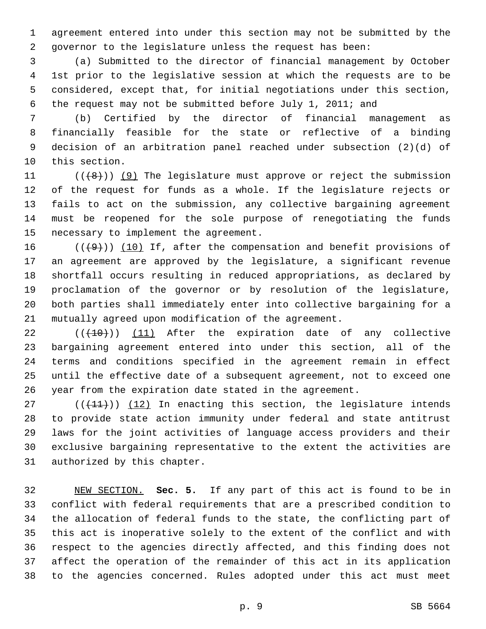agreement entered into under this section may not be submitted by the governor to the legislature unless the request has been:

 (a) Submitted to the director of financial management by October 1st prior to the legislative session at which the requests are to be considered, except that, for initial negotiations under this section, the request may not be submitted before July 1, 2011; and

 (b) Certified by the director of financial management as financially feasible for the state or reflective of a binding decision of an arbitration panel reached under subsection (2)(d) of 10 this section.

 $((+8))$  (9) The legislature must approve or reject the submission of the request for funds as a whole. If the legislature rejects or fails to act on the submission, any collective bargaining agreement must be reopened for the sole purpose of renegotiating the funds 15 necessary to implement the agreement.

 $((+9))$  (10) If, after the compensation and benefit provisions of an agreement are approved by the legislature, a significant revenue shortfall occurs resulting in reduced appropriations, as declared by proclamation of the governor or by resolution of the legislature, both parties shall immediately enter into collective bargaining for a mutually agreed upon modification of the agreement.

  $((+10))$   $(11)$  After the expiration date of any collective bargaining agreement entered into under this section, all of the terms and conditions specified in the agreement remain in effect until the effective date of a subsequent agreement, not to exceed one year from the expiration date stated in the agreement.

 (( $(11)$ )) (12) In enacting this section, the legislature intends to provide state action immunity under federal and state antitrust laws for the joint activities of language access providers and their exclusive bargaining representative to the extent the activities are 31 authorized by this chapter.

 NEW SECTION. **Sec. 5.** If any part of this act is found to be in conflict with federal requirements that are a prescribed condition to the allocation of federal funds to the state, the conflicting part of this act is inoperative solely to the extent of the conflict and with respect to the agencies directly affected, and this finding does not affect the operation of the remainder of this act in its application to the agencies concerned. Rules adopted under this act must meet